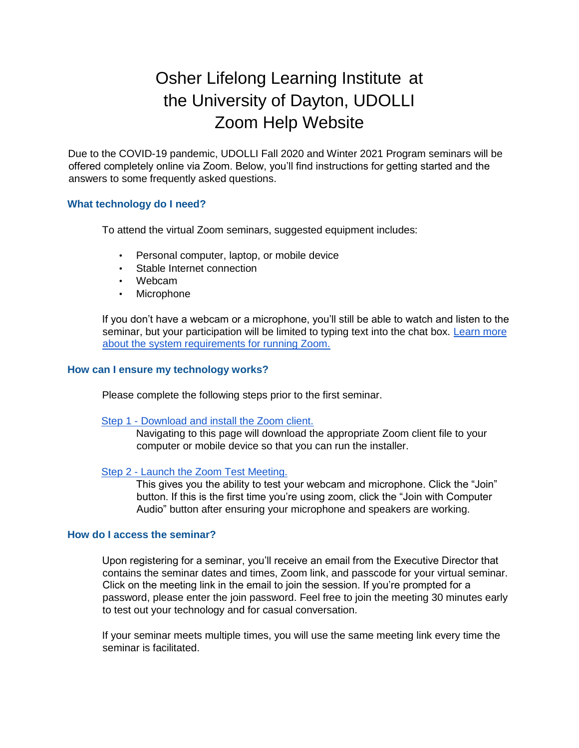# Osher Lifelong Learning Institute at the University of Dayton, UDOLLI Zoom Help Website

Due to the COVID-19 pandemic, UDOLLI Fall 2020 and Winter 2021 Program seminars will be offered completely online via Zoom. Below, you'll find instructions for getting started and the answers to some frequently asked questions.

#### **What technology do I need?**

To attend the virtual Zoom seminars, suggested equipment includes:

- Personal computer, laptop, or mobile device
- Stable Internet connection
- Webcam
- Microphone

If you don't have a webcam or a microphone, you'll still be able to watch and listen to the seminar, but your participation will be limited to typing text into the chat box. [Learn more](https://support.zoom.us/hc/en-us/articles/201362023-System-requirements-for-Windows-macOS-and-Linux) [about the system requirements for running Zoom.](https://support.zoom.us/hc/en-us/articles/201362023-System-requirements-for-Windows-macOS-and-Linux)

### **How can I ensure my technology works?**

Please complete the following steps prior to the first seminar.

#### [Step 1 -](https://zoom.us/support/download) [Download and install the Zoom client.](https://zoom.us/support/download)

Navigating to this page will download the appropriate Zoom client file to your computer or mobile device so that you can run the installer.

#### [Step 2 -](https://zoom.us/test) [Launch the Zoom Test Meeting.](https://zoom.us/test)

This gives you the ability to test your webcam and microphone. Click the "Join" button. If this is the first time you're using zoom, click the "Join with Computer Audio" button after ensuring your microphone and speakers are working.

#### **How do I access the seminar?**

Upon registering for a seminar, you'll receive an email from the Executive Director that contains the seminar dates and times, Zoom link, and passcode for your virtual seminar. Click on the meeting link in the email to join the session. If you're prompted for a password, please enter the join password. Feel free to join the meeting 30 minutes early to test out your technology and for casual conversation.

If your seminar meets multiple times, you will use the same meeting link every time the seminar is facilitated.